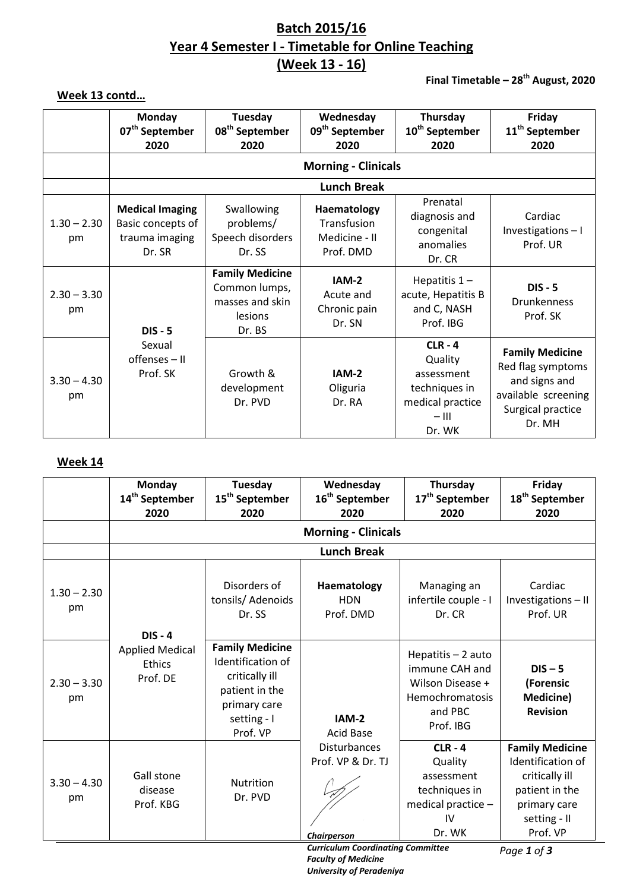# **Batch 2015/16 Year 4 Semester I - Timetable for Online Teaching (Week 13 - 16)**

## **Final Timetable – 28 th August, 2020**

# **Week 13 contd…**

|                     | Monday<br>07 <sup>th</sup> September                                    | Tuesday<br>08 <sup>th</sup> September                                           | Wednesday<br>09 <sup>th</sup> September                  | Thursday<br>10 <sup>th</sup> September                                                       | Friday<br>11 <sup>th</sup> September                                                                               |
|---------------------|-------------------------------------------------------------------------|---------------------------------------------------------------------------------|----------------------------------------------------------|----------------------------------------------------------------------------------------------|--------------------------------------------------------------------------------------------------------------------|
|                     | 2020                                                                    | 2020                                                                            | 2020                                                     | 2020                                                                                         | 2020                                                                                                               |
|                     |                                                                         | <b>Morning - Clinicals</b>                                                      |                                                          |                                                                                              |                                                                                                                    |
|                     |                                                                         |                                                                                 | <b>Lunch Break</b>                                       |                                                                                              |                                                                                                                    |
| $1.30 - 2.30$<br>pm | <b>Medical Imaging</b><br>Basic concepts of<br>trauma imaging<br>Dr. SR | Swallowing<br>problems/<br>Speech disorders<br>Dr. SS                           | Haematology<br>Transfusion<br>Medicine - II<br>Prof. DMD | Prenatal<br>diagnosis and<br>congenital<br>anomalies<br>Dr. CR                               | Cardiac<br>Investigations-I<br>Prof. UR                                                                            |
| $2.30 - 3.30$<br>pm | $DIS - 5$                                                               | <b>Family Medicine</b><br>Common lumps,<br>masses and skin<br>lesions<br>Dr. BS | IAM-2<br>Acute and<br>Chronic pain<br>Dr. SN             | Hepatitis $1 -$<br>acute, Hepatitis B<br>and C, NASH<br>Prof. IBG                            | $DIS - 5$<br><b>Drunkenness</b><br>Prof. SK                                                                        |
| $3.30 - 4.30$<br>pm | Sexual<br>offenses - II<br>Prof. SK                                     | Growth &<br>development<br>Dr. PVD                                              | IAM-2<br>Oliguria<br>Dr. RA                              | $CLR - 4$<br>Quality<br>assessment<br>techniques in<br>medical practice<br>$-$ III<br>Dr. WK | <b>Family Medicine</b><br>Red flag symptoms<br>and signs and<br>available screening<br>Surgical practice<br>Dr. MH |

## **Week 14**

|                     | 14 <sup>th</sup> September<br>2020           | <b>Tuesday</b><br>15 <sup>th</sup> September<br>2020                                                                       | Wednesday<br>16 <sup>th</sup> September<br>2020                | Thursday<br>17 <sup>th</sup> September<br>2020                                                      | Friday<br>18 <sup>th</sup> September<br>2020                                                                                |
|---------------------|----------------------------------------------|----------------------------------------------------------------------------------------------------------------------------|----------------------------------------------------------------|-----------------------------------------------------------------------------------------------------|-----------------------------------------------------------------------------------------------------------------------------|
|                     |                                              |                                                                                                                            | <b>Morning - Clinicals</b>                                     |                                                                                                     |                                                                                                                             |
|                     | <b>Lunch Break</b>                           |                                                                                                                            |                                                                |                                                                                                     |                                                                                                                             |
| $1.30 - 2.30$<br>pm | $DIS - 4$                                    | Disorders of<br>tonsils/ Adenoids<br>Dr. SS                                                                                | Haematology<br><b>HDN</b><br>Prof. DMD                         | Managing an<br>infertile couple - I<br>Dr. CR                                                       | Cardiac<br>Investigations-II<br>Prof. UR                                                                                    |
| $2.30 - 3.30$<br>pm | <b>Applied Medical</b><br>Ethics<br>Prof. DE | <b>Family Medicine</b><br>Identification of<br>critically ill<br>patient in the<br>primary care<br>setting - I<br>Prof. VP | $IAM-2$<br><b>Acid Base</b>                                    | Hepatitis - 2 auto<br>immune CAH and<br>Wilson Disease +<br>Hemochromatosis<br>and PBC<br>Prof. IBG | $DIS - 5$<br>(Forensic<br><b>Medicine)</b><br><b>Revision</b>                                                               |
| $3.30 - 4.30$<br>pm | Gall stone<br>disease<br>Prof. KBG           | <b>Nutrition</b><br>Dr. PVD                                                                                                | <b>Disturbances</b><br>Prof. VP & Dr. TJ<br><b>Chairperson</b> | $CLR - 4$<br>Quality<br>assessment<br>techniques in<br>medical practice -<br>IV<br>Dr. WK           | <b>Family Medicine</b><br>Identification of<br>critically ill<br>patient in the<br>primary care<br>setting - II<br>Prof. VP |

*Curriculum Coordinating Committee Faculty of Medicine University of Peradeniya*

*Page 1 of 3*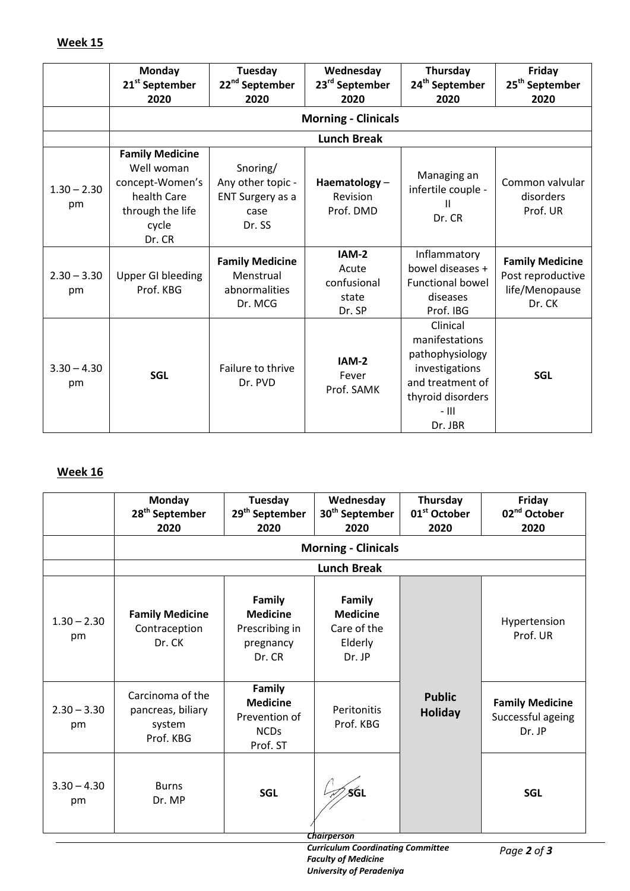|                     | <b>Monday</b><br>21 <sup>st</sup> September<br>2020                                                           | Tuesday<br>22 <sup>nd</sup> September<br>2020                       | Wednesday<br>23 <sup>rd</sup> September<br>2020  | Thursday<br>24 <sup>th</sup> September<br>2020                                                                                 | Friday<br>25 <sup>th</sup> September<br>2020                            |
|---------------------|---------------------------------------------------------------------------------------------------------------|---------------------------------------------------------------------|--------------------------------------------------|--------------------------------------------------------------------------------------------------------------------------------|-------------------------------------------------------------------------|
|                     |                                                                                                               |                                                                     | <b>Morning - Clinicals</b>                       |                                                                                                                                |                                                                         |
|                     |                                                                                                               |                                                                     | <b>Lunch Break</b>                               |                                                                                                                                |                                                                         |
| $1.30 - 2.30$<br>pm | <b>Family Medicine</b><br>Well woman<br>concept-Women's<br>health Care<br>through the life<br>cycle<br>Dr. CR | Snoring/<br>Any other topic -<br>ENT Surgery as a<br>case<br>Dr. SS | Haematology-<br>Revision<br>Prof. DMD            | Managing an<br>infertile couple -<br>Dr. CR                                                                                    | Common valvular<br>disorders<br>Prof. UR                                |
| $2.30 - 3.30$<br>pm | <b>Upper GI bleeding</b><br>Prof. KBG                                                                         | <b>Family Medicine</b><br>Menstrual<br>abnormalities<br>Dr. MCG     | IAM-2<br>Acute<br>confusional<br>state<br>Dr. SP | Inflammatory<br>bowel diseases +<br><b>Functional bowel</b><br>diseases<br>Prof. IBG                                           | <b>Family Medicine</b><br>Post reproductive<br>life/Menopause<br>Dr. CK |
| $3.30 - 4.30$<br>pm | <b>SGL</b>                                                                                                    | Failure to thrive<br>Dr. PVD                                        | IAM-2<br>Fever<br>Prof. SAMK                     | Clinical<br>manifestations<br>pathophysiology<br>investigations<br>and treatment of<br>thyroid disorders<br>$-$ III<br>Dr. JBR | <b>SGL</b>                                                              |

# **Week 16**

| 28 <sup>th</sup> September<br>2020                           | <b>Tuesday</b><br>29 <sup>th</sup> September<br>2020                  | Wednesday<br>30 <sup>th</sup> September<br>2020               | Thursday<br>01 <sup>st</sup> October<br>2020 | Friday<br>02 <sup>nd</sup> October<br>2020            |
|--------------------------------------------------------------|-----------------------------------------------------------------------|---------------------------------------------------------------|----------------------------------------------|-------------------------------------------------------|
|                                                              |                                                                       |                                                               |                                              |                                                       |
|                                                              |                                                                       | <b>Lunch Break</b>                                            |                                              |                                                       |
| <b>Family Medicine</b><br>Contraception<br>Dr. CK            | Family<br><b>Medicine</b><br>Prescribing in<br>pregnancy<br>Dr. CR    | Family<br><b>Medicine</b><br>Care of the<br>Elderly<br>Dr. JP |                                              | Hypertension<br>Prof. UR                              |
| Carcinoma of the<br>pancreas, biliary<br>system<br>Prof. KBG | Family<br><b>Medicine</b><br>Prevention of<br><b>NCDs</b><br>Prof. ST | Peritonitis<br>Prof. KBG                                      | <b>Public</b><br><b>Holiday</b>              | <b>Family Medicine</b><br>Successful ageing<br>Dr. JP |
| <b>Burns</b><br>Dr. MP                                       | <b>SGL</b>                                                            | SGI                                                           |                                              | <b>SGL</b>                                            |
|                                                              |                                                                       |                                                               | <b>Chairperson</b>                           | <b>Morning - Clinicals</b>                            |

*Curriculum Coordinating Committee Faculty of Medicine University of Peradeniya*